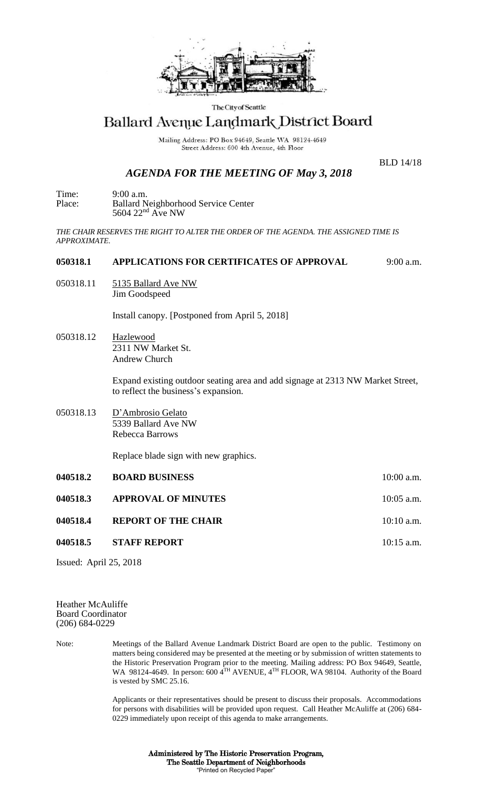

The City of Seattle

## Ballard Avenue Landmark District Board

Mailing Address: PO Box 94649, Seattle WA 98124-4649 Street Address: 600 4th Avenue, 4th Floor

## *AGENDA FOR THE MEETING OF May 3, 2018*

BLD 14/18

Time: 9:00 a.m. Place: Ballard Neighborhood Service Center  $5604$   $22<sup>nd</sup>$  Ave NW

*THE CHAIR RESERVES THE RIGHT TO ALTER THE ORDER OF THE AGENDA. THE ASSIGNED TIME IS APPROXIMATE.*

## **050318.1 APPLICATIONS FOR CERTIFICATES OF APPROVAL** 9:00 a.m.

050318.11 5135 Ballard Ave NW Jim Goodspeed

Install canopy. [Postponed from April 5, 2018]

050318.12 Hazlewood 2311 NW Market St. Andrew Church

> Expand existing outdoor seating area and add signage at 2313 NW Market Street, to reflect the business's expansion.

050318.13 D'Ambrosio Gelato 5339 Ballard Ave NW Rebecca Barrows

Replace blade sign with new graphics.

| 040518.2 | <b>BOARD BUSINESS</b>      | $10:00$ a.m. |
|----------|----------------------------|--------------|
| 040518.3 | <b>APPROVAL OF MINUTES</b> | $10:05$ a.m. |
| 040518.4 | <b>REPORT OF THE CHAIR</b> | $10:10$ a.m. |
| 040518.5 | <b>STAFF REPORT</b>        | $10:15$ a.m. |

Issued: April 25, 2018

Heather McAuliffe Board Coordinator (206) 684-0229

Note: Meetings of the Ballard Avenue Landmark District Board are open to the public. Testimony on matters being considered may be presented at the meeting or by submission of written statements to the Historic Preservation Program prior to the meeting. Mailing address: PO Box 94649, Seattle, WA 98124-4649. In person: 600 4<sup>TH</sup> AVENUE, 4<sup>TH</sup> FLOOR, WA 98104. Authority of the Board is vested by SMC 25.16.

> Applicants or their representatives should be present to discuss their proposals. Accommodations for persons with disabilities will be provided upon request. Call Heather McAuliffe at (206) 684- 0229 immediately upon receipt of this agenda to make arrangements.